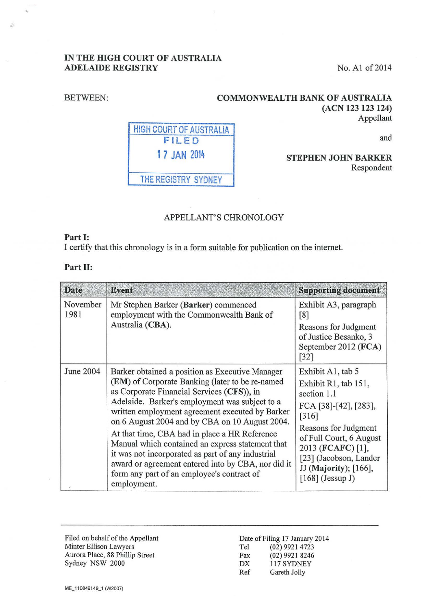## IN THE HIGH COURT OF AUSTRALIA ADELAIDE REGISTRY No. A1 of 2014

(ACN 123 123 124)

#### BETWEEN:

is.

COMMONWEALTH BANK OF AUSTRALIA

HIGH COURT OF AUSTRALIA FILED 1 7 JAN <sup>2014</sup>

and

Appellant

## STEPHEN JOHN BARKER Respondent

## APPELLANT'S CHRONOLOGY

# Part I:

I certify that this chronology is in a form suitable for publication on the internet.

THE REGISTRY SYDNEY

#### Part II:

| <b>Date</b>      | <b>Event</b>                                                                                                                                                                                                                                                                                                                                                                                                                                                                                                                                                                         | <b>Supporting document</b>                                                                                                                                                                                                                  |
|------------------|--------------------------------------------------------------------------------------------------------------------------------------------------------------------------------------------------------------------------------------------------------------------------------------------------------------------------------------------------------------------------------------------------------------------------------------------------------------------------------------------------------------------------------------------------------------------------------------|---------------------------------------------------------------------------------------------------------------------------------------------------------------------------------------------------------------------------------------------|
| November<br>1981 | Mr Stephen Barker (Barker) commenced<br>employment with the Commonwealth Bank of<br>Australia (CBA).                                                                                                                                                                                                                                                                                                                                                                                                                                                                                 | Exhibit A3, paragraph<br>[8]<br>Reasons for Judgment<br>of Justice Besanko, 3<br>September 2012 (FCA)<br>[32]                                                                                                                               |
| June 2004        | Barker obtained a position as Executive Manager<br>(EM) of Corporate Banking (later to be re-named<br>as Corporate Financial Services (CFS)), in<br>Adelaide. Barker's employment was subject to a<br>written employment agreement executed by Barker<br>on 6 August 2004 and by CBA on 10 August 2004.<br>At that time, CBA had in place a HR Reference<br>Manual which contained an express statement that<br>it was not incorporated as part of any industrial<br>award or agreement entered into by CBA, nor did it<br>form any part of an employee's contract of<br>employment. | Exhibit A1, tab 5<br>Exhibit R1, tab 151,<br>section 1.1<br>FCA [38]-[42], [283],<br>[316]<br>Reasons for Judgment<br>of Full Court, 6 August<br>2013 (FCAFC) [1],<br>[23] (Jacobson, Lander<br>JJ (Majority); [166],<br>$[168]$ (Jessup J) |

Filed on behalf of the Appellant Minter Ellison Lawyers Aurora Place, 88 Phillip Street Sydney NSW 2000

Date of Filing 17 January 2014 Tel (02) 9921 4723 Fax (02) 9921 8246<br>DX 117 SYDNEY 117 SYDNEY Ref Gareth Jolly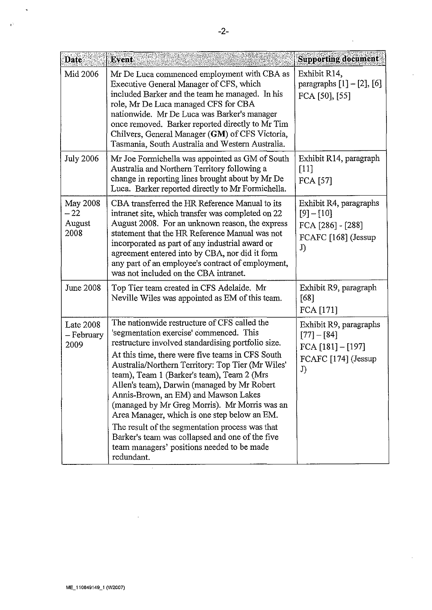| Date                                       | Event                                                                                                                                                                                                                                                                                                                                                                                                                                                                                                                                                                                                                                                          | <b>Supporting document</b>                                                                  |
|--------------------------------------------|----------------------------------------------------------------------------------------------------------------------------------------------------------------------------------------------------------------------------------------------------------------------------------------------------------------------------------------------------------------------------------------------------------------------------------------------------------------------------------------------------------------------------------------------------------------------------------------------------------------------------------------------------------------|---------------------------------------------------------------------------------------------|
| Mid 2006                                   | Mr De Luca commenced employment with CBA as<br>Executive General Manager of CFS, which<br>included Barker and the team he managed. In his<br>role, Mr De Luca managed CFS for CBA<br>nationwide. Mr De Luca was Barker's manager<br>once removed. Barker reported directly to Mr Tim<br>Chilvers, General Manager (GM) of CFS Victoria,<br>Tasmania, South Australia and Western Australia.                                                                                                                                                                                                                                                                    | Exhibit R14,<br>paragraphs $[1] - [2]$ , $[6]$<br>FCA [50], [55]                            |
| <b>July 2006</b>                           | Mr Joe Formichella was appointed as GM of South<br>Australia and Northern Territory following a<br>change in reporting lines brought about by Mr De<br>Luca. Barker reported directly to Mr Formichella.                                                                                                                                                                                                                                                                                                                                                                                                                                                       | Exhibit R14, paragraph<br>$[11]$<br><b>FCA [57]</b>                                         |
| <b>May 2008</b><br>$-22$<br>August<br>2008 | CBA transferred the HR Reference Manual to its<br>intranet site, which transfer was completed on 22<br>August 2008. For an unknown reason, the express<br>statement that the HR Reference Manual was not<br>incorporated as part of any industrial award or<br>agreement entered into by CBA, nor did it form<br>any part of an employee's contract of employment,<br>was not included on the CBA intranet.                                                                                                                                                                                                                                                    | Exhibit R4, paragraphs<br>$[9] - [10]$<br>FCA [286] - [288]<br>FCAFC [168] (Jessup<br>J)    |
| June 2008                                  | Top Tier team created in CFS Adelaide. Mr<br>Neville Wiles was appointed as EM of this team.                                                                                                                                                                                                                                                                                                                                                                                                                                                                                                                                                                   | Exhibit R9, paragraph<br>[68]<br>FCA [171]                                                  |
| <b>Late 2008</b><br>– February<br>2009     | The nationwide restructure of CFS called the<br>'segmentation exercise' commenced. This<br>restructure involved standardising portfolio size.<br>At this time, there were five teams in CFS South<br>Australia/Northern Territory: Top Tier (Mr Wiles'<br>team), Team 1 (Barker's team), Team 2 (Mrs<br>Allen's team), Darwin (managed by Mr Robert<br>Annis-Brown, an EM) and Mawson Lakes<br>(managed by Mr Greg Morris). Mr Morris was an<br>Area Manager, which is one step below an EM.<br>The result of the segmentation process was that<br>Barker's team was collapsed and one of the five<br>team managers' positions needed to be made<br>redundant. | Exhibit R9, paragraphs<br>$[77] - [84]$<br>FCA $[181] - [197]$<br>FCAFC [174] (Jessup<br>J) |

 $\ddot{\phantom{1}}$ 

 $\ddot{\phantom{a}}$ 

÷,

 $\overline{a}$ 

 $\hat{\mathcal{A}}$ 

 $\ddot{\phantom{a}}$ 

 $\psi$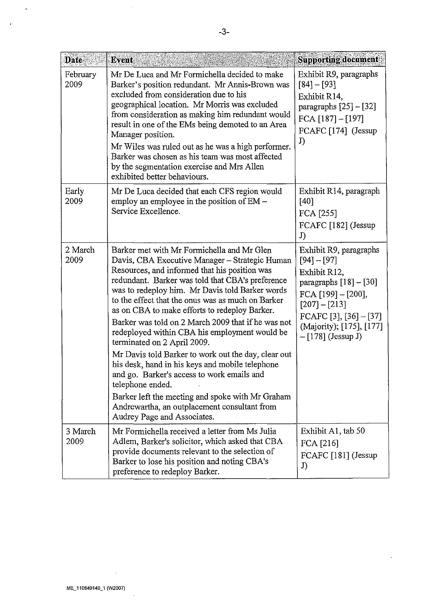| Date             | Event                                                                                                                                                                                                                                                                                                                                                                                                                                                                                                                                                                                                                                                                                                                                                                                                           | <b>Supporting document</b>                                                                                                                                                                                |
|------------------|-----------------------------------------------------------------------------------------------------------------------------------------------------------------------------------------------------------------------------------------------------------------------------------------------------------------------------------------------------------------------------------------------------------------------------------------------------------------------------------------------------------------------------------------------------------------------------------------------------------------------------------------------------------------------------------------------------------------------------------------------------------------------------------------------------------------|-----------------------------------------------------------------------------------------------------------------------------------------------------------------------------------------------------------|
| February<br>2009 | Mr De Luca and Mr Formichella decided to make<br>Barker's position redundant. Mr Annis-Brown was<br>excluded from consideration due to his<br>geographical location. Mr Morris was excluded<br>from consideration as making him redundant would<br>result in one of the EMs being demoted to an Area<br>Manager position.<br>Mr Wiles was ruled out as he was a high performer.<br>Barker was chosen as his team was most affected<br>by the segmentation exercise and Mrs Allen<br>exhibited better behaviours.                                                                                                                                                                                                                                                                                                | Exhibit R9, paragraphs<br>$[84] - [93]$<br>Exhibit R14,<br>paragraphs $[25]$ – $[32]$<br>FCA $[187] - [197]$<br>FCAFC [174] (Jessup<br>J)                                                                 |
| Early<br>2009    | Mr De Luca decided that each CFS region would<br>employ an employee in the position of EM –<br>Service Excellence.                                                                                                                                                                                                                                                                                                                                                                                                                                                                                                                                                                                                                                                                                              | Exhibit R14, paragraph<br>$[40]$<br>FCA [255]<br>FCAFC [182] (Jessup<br>J)                                                                                                                                |
| 2 March<br>2009  | Barker met with Mr Formichella and Mr Glen<br>Davis, CBA Executive Manager - Strategic Human<br>Resources, and informed that his position was<br>redundant. Barker was told that CBA's preference<br>was to redeploy him. Mr Davis told Barker words<br>to the effect that the onus was as much on Barker<br>as on CBA to make efforts to redeploy Barker.<br>Barker was told on 2 March 2009 that if he was not<br>redeployed within CBA his employment would be<br>terminated on 2 April 2009.<br>Mr Davis told Barker to work out the day, clear out<br>his desk, hand in his keys and mobile telephone<br>and go. Barker's access to work emails and<br>telephone ended.<br>Barker left the meeting and spoke with Mr Graham<br>Andrewartha, an outplacement consultant from<br>Audrey Page and Associates. | Exhibit R9, paragraphs<br>$[94] - [97]$<br>Exhibit R12,<br>paragraphs $[18] - [30]$<br>FCA [199] - [200],<br>$[207] - [213]$<br>FCAFC [3], [36] - [37]<br>(Majority); [175], [177]<br>$-[178]$ (Jessup J) |
| 3 March<br>2009  | Mr Formichella received a letter from Ms Julia<br>Adlem, Barker's solicitor, which asked that CBA<br>provide documents relevant to the selection of<br>Barker to lose his position and noting CBA's<br>preference to redeploy Barker.                                                                                                                                                                                                                                                                                                                                                                                                                                                                                                                                                                           | Exhibit A1, tab 50<br>FCA [216]<br>FCAFC [181] (Jessup<br>J)                                                                                                                                              |

 $\frac{1}{2}$ 

 $\bar{\star}$ 

 $\vec{v}$ 

 $\bar{\beta}$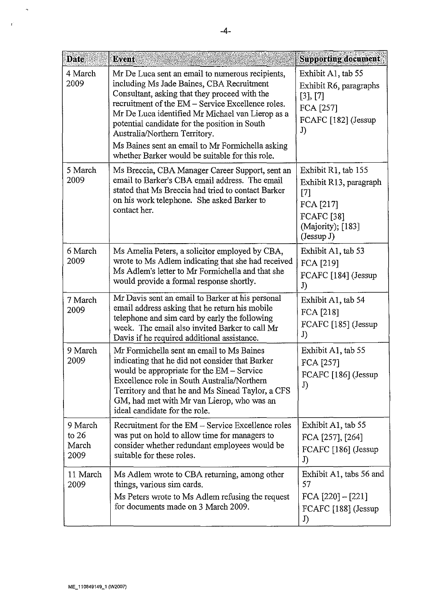| <b>Date</b>                         | Event                                                                                                                                                                                                                                                                                                                                                                                                                                            | <b>Supporting document</b>                                                                                                  |
|-------------------------------------|--------------------------------------------------------------------------------------------------------------------------------------------------------------------------------------------------------------------------------------------------------------------------------------------------------------------------------------------------------------------------------------------------------------------------------------------------|-----------------------------------------------------------------------------------------------------------------------------|
| 4 March<br>2009                     | Mr De Luca sent an email to numerous recipients,<br>including Ms Jade Baines, CBA Recruitment<br>Consultant, asking that they proceed with the<br>recruitment of the EM – Service Excellence roles.<br>Mr De Luca identified Mr Michael van Lierop as a<br>potential candidate for the position in South<br>Australia/Northern Territory.<br>Ms Baines sent an email to Mr Formichella asking<br>whether Barker would be suitable for this role. | Exhibit A1, tab 55<br>Exhibit R6, paragraphs<br>[3], [7]<br>FCA [257]<br>FCAFC [182] (Jessup<br>J)                          |
| 5 March<br>2009                     | Ms Breccia, CBA Manager Career Support, sent an<br>email to Barker's CBA email address. The email<br>stated that Ms Breccia had tried to contact Barker<br>on his work telephone. She asked Barker to<br>contact her.                                                                                                                                                                                                                            | Exhibit R1, tab 155<br>Exhibit R13, paragraph<br>$[7]$<br>FCA [217]<br><b>FCAFC</b> [38]<br>(Majority); [183]<br>(Jessup J) |
| 6 March<br>2009                     | Ms Amelia Peters, a solicitor employed by CBA,<br>wrote to Ms Adlem indicating that she had received<br>Ms Adlem's letter to Mr Formichella and that she<br>would provide a formal response shortly.                                                                                                                                                                                                                                             | Exhibit A1, tab 53<br>FCA [219]<br>FCAFC [184] (Jessup<br>J)                                                                |
| 7 March<br>2009                     | Mr Davis sent an email to Barker at his personal<br>email address asking that he return his mobile<br>telephone and sim card by early the following<br>week. The email also invited Barker to call Mr<br>Davis if he required additional assistance.                                                                                                                                                                                             | Exhibit A1, tab 54<br>FCA [218]<br>FCAFC [185] (Jessup<br>J)                                                                |
| 9 March<br>2009                     | Mr Formichella sent an email to Ms Baines<br>indicating that he did not consider that Barker<br>would be appropriate for the $EM$ – Service<br>Excellence role in South Australia/Northern<br>Territory and that he and Ms Sinead Taylor, a CFS<br>GM, had met with Mr van Lierop, who was an<br>ideal candidate for the role.                                                                                                                   | Exhibit A1, tab 55<br>FCA [257]<br>FCAFC [186] (Jessup<br>J)                                                                |
| 9 March<br>to $26$<br>March<br>2009 | Recruitment for the EM – Service Excellence roles<br>was put on hold to allow time for managers to<br>consider whether redundant employees would be<br>suitable for these roles.                                                                                                                                                                                                                                                                 | Exhibit A1, tab 55<br>FCA [257], [264]<br>FCAFC [186] (Jessup<br>J)                                                         |
| 11 March<br>2009                    | Ms Adlem wrote to CBA returning, among other<br>things, various sim cards.<br>Ms Peters wrote to Ms Adlem refusing the request<br>for documents made on 3 March 2009.                                                                                                                                                                                                                                                                            | Exhibit A1, tabs 56 and<br>57<br>FCA $[220] - [221]$<br>FCAFC [188] (Jessup<br>J)                                           |

 $\hat{\mathbf{v}}$ 

 $\bar{t}$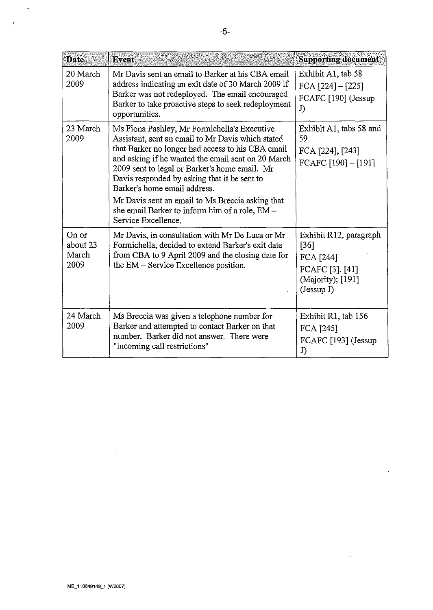| <b>Date</b>                        | Event                                                                                                                                                                                                                                                                                                                                                                                                                                                                      | <b>Supporting document</b>                                                                        |
|------------------------------------|----------------------------------------------------------------------------------------------------------------------------------------------------------------------------------------------------------------------------------------------------------------------------------------------------------------------------------------------------------------------------------------------------------------------------------------------------------------------------|---------------------------------------------------------------------------------------------------|
| 20 March<br>2009                   | Mr Davis sent an email to Barker at his CBA email<br>address indicating an exit date of 30 March 2009 if<br>Barker was not redeployed. The email encouraged<br>Barker to take proactive steps to seek redeployment<br>opportunities.                                                                                                                                                                                                                                       | Exhibit A1, tab 58<br>FCA $[224] - [225]$<br>FCAFC [190] (Jessup<br>J)                            |
| 23 March<br>2009                   | Ms Fiona Pashley, Mr Formichella's Executive<br>Assistant, sent an email to Mr Davis which stated<br>that Barker no longer had access to his CBA email<br>and asking if he wanted the email sent on 20 March<br>2009 sent to legal or Barker's home email. Mr<br>Davis responded by asking that it be sent to<br>Barker's home email address.<br>Mr Davis sent an email to Ms Breccia asking that<br>she email Barker to inform him of a role, EM -<br>Service Excellence. | Exhibit A1, tabs 58 and<br>59<br>FCA [224], [243]<br>FCAFC [190] - [191]                          |
| On or<br>about 23<br>March<br>2009 | Mr Davis, in consultation with Mr De Luca or Mr<br>Formichella, decided to extend Barker's exit date<br>from CBA to 9 April 2009 and the closing date for<br>the EM - Service Excellence position.                                                                                                                                                                                                                                                                         | Exhibit R12, paragraph<br>[36]<br>FCA [244]<br>FCAFC [3], [41]<br>(Majority); [191]<br>(Jessup J) |
| 24 March<br>2009                   | Ms Breccia was given a telephone number for<br>Barker and attempted to contact Barker on that<br>number. Barker did not answer. There were<br>"incoming call restrictions"                                                                                                                                                                                                                                                                                                 | Exhibit R1, tab 156<br>FCA [245]<br>FCAFC [193] (Jessup<br>J)                                     |

 $\bar{\gamma}$ 

 $\bar{\nu}$ 

 $\hat{\mathcal{A}}$ 

 $\sim$   $\sim$ 

 $\tilde{\mathcal{A}}$ 

 $\hat{\phi}$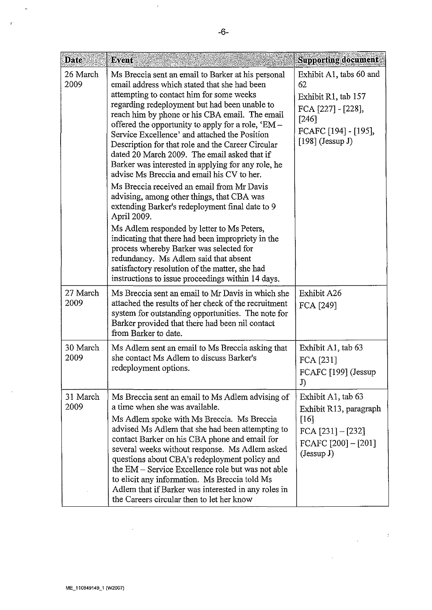| <b>Date</b>      | Event                                                                                                                                                                                                                                                                                                                                                                                                                                                                                                                                                                                                                                                                                                                                                                                                                                                                                                                                                                                                                           | <b>Supporting document</b>                                                                                                        |
|------------------|---------------------------------------------------------------------------------------------------------------------------------------------------------------------------------------------------------------------------------------------------------------------------------------------------------------------------------------------------------------------------------------------------------------------------------------------------------------------------------------------------------------------------------------------------------------------------------------------------------------------------------------------------------------------------------------------------------------------------------------------------------------------------------------------------------------------------------------------------------------------------------------------------------------------------------------------------------------------------------------------------------------------------------|-----------------------------------------------------------------------------------------------------------------------------------|
| 26 March<br>2009 | Ms Breccia sent an email to Barker at his personal<br>email address which stated that she had been<br>attempting to contact him for some weeks<br>regarding redeployment but had been unable to<br>reach him by phone or his CBA email. The email<br>offered the opportunity to apply for a role, $*EM -$<br>Service Excellence' and attached the Position<br>Description for that role and the Career Circular<br>dated 20 March 2009. The email asked that if<br>Barker was interested in applying for any role, he<br>advise Ms Breccia and email his CV to her.<br>Ms Breccia received an email from Mr Davis<br>advising, among other things, that CBA was<br>extending Barker's redeployment final date to 9<br>April 2009.<br>Ms Adlem responded by letter to Ms Peters,<br>indicating that there had been impropriety in the<br>process whereby Barker was selected for<br>redundancy. Ms Adlem said that absent<br>satisfactory resolution of the matter, she had<br>instructions to issue proceedings within 14 days. | Exhibit A1, tabs 60 and<br>62<br>Exhibit R1, tab 157<br>FCA [227] - [228],<br>[246]<br>FCAFC [194] - [195],<br>$[198]$ (Jessup J) |
| 27 March<br>2009 | Ms Breccia sent an email to Mr Davis in which she<br>attached the results of her check of the recruitment<br>system for outstanding opportunities. The note for<br>Barker provided that there had been nil contact<br>from Barker to date.                                                                                                                                                                                                                                                                                                                                                                                                                                                                                                                                                                                                                                                                                                                                                                                      | Exhibit A26<br>FCA [249]                                                                                                          |
| 30 March<br>2009 | Ms Adlem sent an email to Ms Breccia asking that<br>she contact Ms Adlem to discuss Barker's<br>redeployment options.                                                                                                                                                                                                                                                                                                                                                                                                                                                                                                                                                                                                                                                                                                                                                                                                                                                                                                           | Exhibit A1, tab 63<br>FCA [231]<br>FCAFC [199] (Jessup<br>J)                                                                      |
| 31 March<br>2009 | Ms Breccia sent an email to Ms Adlem advising of<br>a time when she was available.<br>Ms Adlem spoke with Ms Breccia. Ms Breccia<br>advised Ms Adlem that she had been attempting to<br>contact Barker on his CBA phone and email for<br>several weeks without response. Ms Adlem asked<br>questions about CBA's redeployment policy and<br>the EM - Service Excellence role but was not able<br>to elicit any information. Ms Breccia told Ms<br>Adlem that if Barker was interested in any roles in<br>the Careers circular then to let her know                                                                                                                                                                                                                                                                                                                                                                                                                                                                              | Exhibit A1, tab 63<br>Exhibit R13, paragraph<br>[16]<br>FCA $[231] - [232]$<br>FCAFC $[200] - [201]$<br>(Jessup J)                |

 $\label{eq:2.1} \frac{1}{\sqrt{2\pi}}\left(\frac{1}{\sqrt{2\pi}}\right)^{1/2}\frac{1}{\sqrt{2\pi}}\frac{1}{\sqrt{2\pi}}\,.$ 

 $\sim$ 

 $\frac{1}{\sqrt{2}}$ 

 $\hat{\mathbf{z}}$ 

 $\mathbf{r}$ 

 $\sim$ 

 $\sim$